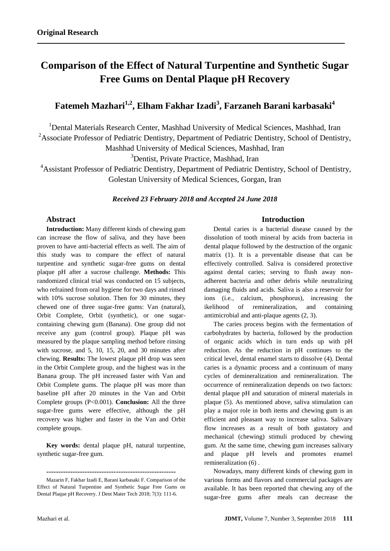# **Comparison of the Effect of Natural Turpentine and Synthetic Sugar Free Gums on Dental Plaque pH Recovery**

## **Fatemeh Mazhari1,2, Elham Fakhar Izadi<sup>3</sup> , Farzaneh Barani karbasaki<sup>4</sup>**

<sup>1</sup> Dental Materials Research Center, Mashhad University of Medical Sciences, Mashhad, Iran <sup>2</sup>Associate Professor of Pediatric Dentistry, Department of Pediatric Dentistry, School of Dentistry,

Mashhad University of Medical Sciences, Mashhad, Iran

<sup>3</sup>Dentist, Private Practice, Mashhad, Iran

<sup>4</sup>Assistant Professor of Pediatric Dentistry, Department of Pediatric Dentistry, School of Dentistry, Golestan University of Medical Sciences, Gorgan, Iran

*Received 23 February 2018 and Accepted 24 June 2018*

## **Abstract**

**Introduction:** Many different kinds of chewing gum can increase the flow of saliva, and they have been proven to have anti-bacterial effects as well. The aim of this study was to compare the effect of natural turpentine and synthetic sugar-free gums on dental plaque pH after a sucrose challenge. **Methods:** This randomized clinical trial was conducted on 15 subjects, who refrained from oral hygiene for two days and rinsed with 10% sucrose solution. Then for 30 minutes, they chewed one of three sugar-free gums: Van (natural), Orbit Complete, Orbit (synthetic), or one sugarcontaining chewing gum (Banana). One group did not receive any gum (control group). Plaque pH was measured by the plaque sampling method before rinsing with sucrose, and 5, 10, 15, 20, and 30 minutes after chewing. **Results:** The lowest plaque pH drop was seen in the Orbit Complete group, and the highest was in the Banana group. The pH increased faster with Van and Orbit Complete gums. The plaque pH was more than baseline pH after 20 minutes in the Van and Orbit Complete groups (P<0.001). **Conclusion:** All the three sugar-free gums were effective, although the pH recovery was higher and faster in the Van and Orbit complete groups.

**Key words:** dental plaque pH, natural turpentine, synthetic sugar-free gum.

## **Introduction**

Dental caries is a bacterial disease caused by the dissolution of tooth mineral by acids from bacteria in dental plaque followed by the destruction of the organic matrix [\(1\)](#page-4-0). It is a preventable disease that can be effectively controlled. Saliva is considered protective against dental caries; serving to flush away nonadherent bacteria and other debris while neutralizing damaging fluids and acids. Saliva is also a reservoir for ions (i.e*.,* calcium, phosphorus), increasing the ikelihood of remineralization, and containing antimicrobial and anti-plaque agents [\(2,](#page-4-1) [3\)](#page-4-2).

The caries process begins with the fermentation of carbohydrates by bacteria, followed by the production of organic acids which in turn ends up with pH reduction. As the reduction in pH continues to the critical level, dental enamel starts to dissolve [\(4\)](#page-4-3). Dental caries is a dynamic process and a continuum of many cycles of demineralization and remineralization. The occurrence of remineralization depends on two factors: dental plaque pH and saturation of mineral materials in plaque [\(5\)](#page-4-4). As mentioned above, saliva stimulation can play a major role in both items and chewing gum is an efficient and pleasant way to increase saliva. Salivary flow increases as a result of both gustatory and mechanical (chewing) stimuli produced by chewing gum. At the same time, chewing gum increases salivary and plaque pH levels and promotes enamel remineralization [\(6\)](#page-4-5) .

Nowadays, many different kinds of chewing gum in various forms and flavors and commercial packages are available. It has been reported that chewing any of the sugar-free gums after meals can decrease the

**<sup>------------------------------------------------------</sup>**

Mazarin F, Fakhar Izadi E, Barani karbasaki F. Comparison of the Effect of Natural Turpentine and Synthetic Sugar Free Gums on Dental Plaque pH Recovery. J Dent Mater Tech 2018; 7(3): 111-6.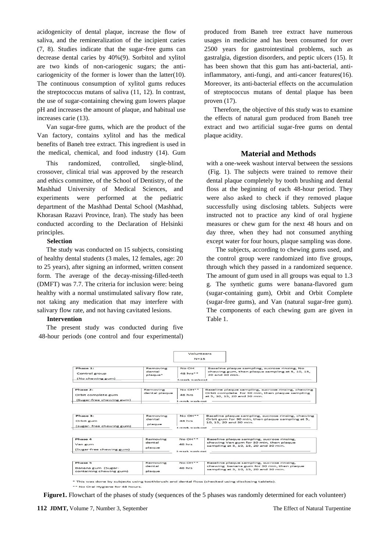acidogenicity of dental plaque, increase the flow of saliva, and the remineralization of the incipient caries [\(7,](#page-5-0) [8\)](#page-5-1). Studies indicate that the sugar-free gums can decrease dental caries by 40%[\(9\)](#page-5-2). Sorbitol and xylitol are two kinds of non-cariogenic sugars; the anticariogenicity of the former is lower than the latter[\(10\)](#page-5-3). The continuous consumption of xylitol gums reduces the streptococcus mutans of saliva [\(11,](#page-5-4) [12\)](#page-5-5). In contrast, the use of sugar-containing chewing gum lowers plaque pH and increases the amount of plaque, and habitual use increases carie [\(13\)](#page-5-6).

Van sugar-free gums, which are the product of the Van factory, contains xylitol and has the medical benefits of Baneh tree extract. This ingredient is used in the medical, chemical, and food industry [\(14\)](#page-5-7). Gum

This randomized, controlled, single-blind, crossover, clinical trial was approved by the research and ethics committee, of the School of Dentistry, of the Mashhad University of Medical Sciences, and experiments were performed at the pediatric department of the Mashhad Dental School (Mashhad, Khorasan Razavi Province, Iran). The study has been conducted according to the Declaration of Helsinki principles.

#### **Selection**

The study was conducted on 15 subjects, consisting of healthy dental students (3 males, 12 females, age: 20 to 25 years), after signing an informed, written consent form. The average of the decay-missing-filled-teeth (DMFT) was 7.7. The criteria for inclusion were: being healthy with a normal unstimulated salivary flow rate, not taking any medication that may interfere with salivary flow rate, and not having cavitated lesions.

#### **Intervention**

The present study was conducted during five 48-hour periods (one control and four experimental) produced from Baneh tree extract have numerous usages in medicine and has been consumed for over 2500 years for gastrointestinal problems, such as gastralgia, digestion disorders, and peptic ulcers [\(15\)](#page-5-8). It has been shown that this gum has anti-bacterial, antiinflammatory, anti-fungi, and anti-cancer features[\(16\)](#page-5-9). Moreover, its anti-bacterial effects on the accumulation of streptococcus mutans of dental plaque has been proven [\(17\)](#page-5-10).

Therefore, the objective of this study was to examine the effects of natural gum produced from Baneh tree extract and two artificial sugar-free gums on dental plaque acidity.

#### **Material and Methods**

with a one-week washout interval between the sessions (Fig. 1). The subjects were trained to remove their dental plaque completely by tooth brushing and dental floss at the beginning of each 48-hour period. They were also asked to check if they removed plaque successfully using disclosing tablets. Subjects were instructed not to practice any kind of oral hygiene measures or chew gum for the next 48 hours and on day three, when they had not consumed anything except water for four hours, plaque sampling was done.

The subjects, according to chewing gums used, and the control group were randomized into five groups, through which they passed in a randomized sequence. The amount of gum used in all groups was equal to 1.3 g. The synthetic gums were banana-flavored gum (sugar-containing gum), Orbit and Orbit Complete (sugar-free gums), and Van (natural sugar-free gum). The components of each chewing gum are given in Table 1.

|                                                                                |                           | Volunteers<br>$N = 15$                                         |                                                                                                                                       |
|--------------------------------------------------------------------------------|---------------------------|----------------------------------------------------------------|---------------------------------------------------------------------------------------------------------------------------------------|
| Phase 1:<br>Removing<br>dental<br>Control group<br>plaque*<br>(No chewing gum) |                           | No OH<br>$48$ hrs <sup><math>+</math></sup><br>1-week wash-out | Baseline plaque sampling, sucrose rinsing, No<br>chewing gum, then plaque sampling at 5, 10, 15,<br>20 and 30 min.                    |
| Phase 2:<br>Orbit complete gum<br>(Sugar-free chewing gum)                     | Removing<br>dental plaque | $No$ $OH**$<br>48 hrs                                          | Baseline plaque sampling, sucrose rinsing, chewing<br>Orbit complete for 30 min, then plaque sampling<br>at 5, 10, 15, 20 and 30 min. |
| Phase 3:                                                                       | Removing                  | $NQ$ $OH$ <sup>++</sup>                                        | Baseline plaque sampling, sucrose rinsing, chewing                                                                                    |
| Orbit gum<br>(sugar-free chewing gum)                                          | dental<br>plaque          | 48 hrs<br>l-week wash-out                                      | Orbit gum for 30 min, then plaque sampling at 5,<br>10, 15, 20 and 30 min.                                                            |
| Phase 4                                                                        | Removing                  | $NQ O H^{++}$                                                  | Baseline plaque sampling, sucrose rinsing,                                                                                            |
| Van gum<br>(Sugar-free chewing gum)                                            | dental<br>plaque          | 48 hrs                                                         | chewing Van gum for 30 min, then plaque<br>sampling at 5, 10, 15, 20 and 30 min.                                                      |
| Phase 5                                                                        | Removing                  | 1-week wash-out<br>$NQ$ $OH**$                                 | Baseline plaque sampling, sucrose rinsing,                                                                                            |
| Banana gum (Sugar-<br>containing chewing gum)                                  | dental<br>plaque          | 48 hrs                                                         | chewing banana gum for 30 min, then plaque<br>sampling at 5, 10, 15, 20 and 30 min.                                                   |

\* This was done by subjects using toothbrush and dental floss (checked using disclosing tablets).

\*\* No Oral Hygiene for 48 hours

**Figure1.** Flowchart of the phases of study (sequences of the 5 phases was randomly determined for each volunteer)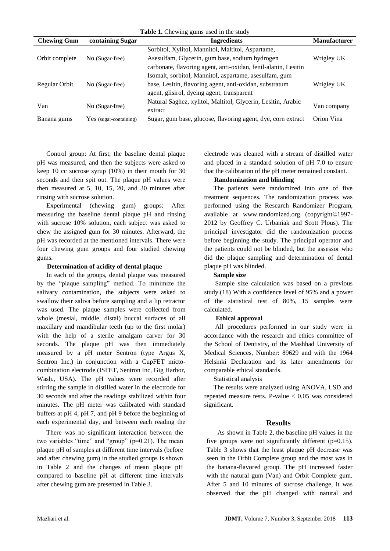| Table 1. Chewing gums used in the study |                        |                                                                |                     |  |
|-----------------------------------------|------------------------|----------------------------------------------------------------|---------------------|--|
| <b>Chewing Gum</b>                      | containing Sugar       | <b>Ingredients</b>                                             | <b>Manufacturer</b> |  |
|                                         |                        | Sorbitol, Xylitol, Mannitol, Maltitol, Aspartame,              |                     |  |
| Orbit complete                          | No (Sugar-free)        | Asesulfam, Glycerin, gum base, sodium hydrogen                 | Wrigley UK          |  |
|                                         |                        | carbonate, flavoring agent, anti-oxidan, fenil-alanin, Lesitin |                     |  |
|                                         |                        | Isomalt, sorbitol, Mannitol, aspartame, asesulfam, gum         |                     |  |
| Regular Orbit                           | No (Sugar-free)        | base, Lesitin, flavoring agent, anti-oxidan, substratum        | Wrigley UK          |  |
|                                         |                        | agent, glisirol, dyeing agent, transparent                     |                     |  |
| Van                                     | No (Sugar-free)        | Natural Saghez, xylitol, Maltitol, Glycerin, Lesitin, Arabic   |                     |  |
|                                         |                        | extract                                                        | Van company         |  |
| Banana gums                             | Yes (sugar-containing) | Sugar, gum base, glucose, flavoring agent, dye, corn extract   | Orion Vina          |  |

Control group: At first, the baseline dental plaque pH was measured, and then the subjects were asked to keep 10 cc sucrose syrup (10%) in their mouth for 30 seconds and then spit out. The plaque pH values were then measured at 5, 10, 15, 20, and 30 minutes after rinsing with sucrose solution.

Experimental (chewing gum) groups: After measuring the baseline dental plaque pH and rinsing with sucrose 10% solution, each subject was asked to chew the assigned gum for 30 minutes. Afterward, the pH was recorded at the mentioned intervals. There were four chewing gum groups and four studied chewing gums.

#### **Determination of acidity of dental plaque**

In each of the groups, dental plaque was measured by the "plaque sampling" method. To minimize the salivary contamination, the subjects were asked to swallow their saliva before sampling and a lip retractor was used. The plaque samples were collected from whole (mesial, middle, distal) buccal surfaces of all maxillary and mandibular teeth (up to the first molar) with the help of a sterile amalgam carver for 30 seconds. The plaque pH was then immediately measured by a pH meter Sentron (type Argus X, Sentron Inc.) in conjunction with a CupFET mictocombination electrode (ISFET, Sentron Inc, Gig Harbor, Wash., USA). The pH values were recorded after stirring the sample in distilled water in the electrode for 30 seconds and after the readings stabilized within four minutes. The pH meter was calibrated with standard buffers at pH 4, pH 7, and pH 9 before the beginning of each experimental day, and between each reading the

There was no significant interaction between the two variables "time" and "group" (p=0.21). The mean plaque pH of samples at different time intervals (before and after chewing gum) in the studied groups is shown in Table 2 and the changes of mean plaque pH compared to baseline pH at different time intervals after chewing gum are presented in Table 3.

electrode was cleaned with a stream of distilled water and placed in a standard solution of pH 7.0 to ensure that the calibration of the pH meter remained constant.

#### **Randomization and blinding**

The patients were randomized into one of five treatment sequences. The randomization process was performed using the Research Randomizer Program, available at www.randomized.org (copyright©1997- 2012 by Geoffrey C. Urbaniak and Scott Plous). The principal investigator did the randomization process before beginning the study. The principal operator and the patients could not be blinded, but the assessor who did the plaque sampling and determination of dental plaque pH was blinded.

#### **Sample size**

Sample size calculation was based on a previous study.[\(18\)](#page-5-11) With a confidence level of 95% and a power of the statistical test of 80%, 15 samples were calculated.

#### **Ethical approval**

All procedures performed in our study were in accordance with the research and ethics committee of the School of Dentistry, of the Mashhad University of Medical Sciences, Number: 89629 and with the 1964 Helsinki Declaration and its later amendments for comparable ethical standards.

#### Statistical analysis

The results were analyzed using ANOVA, LSD and repeated measure tests. P-value < 0.05 was considered significant.

#### **Results**

As shown in Table 2, the baseline pH values in the five groups were not significantly different  $(p=0.15)$ . Table 3 shows that the least plaque pH decrease was seen in the Orbit Complete group and the most was in the banana-flavored group. The pH increased faster with the natural gum (Van) and Orbit Complete gum. After 5 and 10 minutes of sucrose challenge, it was observed that the pH changed with natural and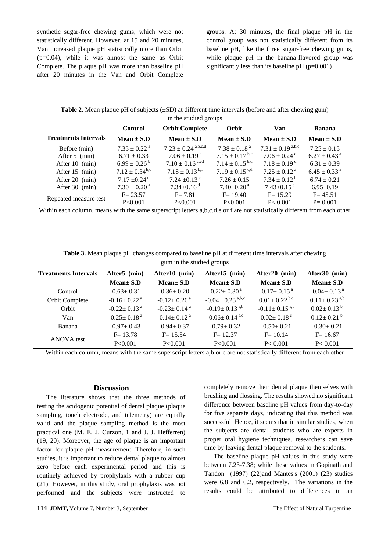synthetic sugar-free chewing gums, which were not statistically different. However, at 15 and 20 minutes, Van increased plaque pH statistically more than Orbit (p=0.04), while it was almost the same as Orbit Complete. The plaque pH was more than baseline pH after 20 minutes in the Van and Orbit Complete groups. At 30 minutes, the final plaque pH in the control group was not statistically different from its baseline pH, like the three sugar-free chewing gums, while plaque pH in the banana-flavored group was significantly less than its baseline  $pH (p=0.001)$ .

**Table 2.** Mean plaque pH of subjects (±SD) at different time intervals (before and after chewing gum) in the studied groups

|                             | <b>Control</b>               | <b>Orbit Complete</b>              | Orbit                          | Van                          | <b>Banana</b>                |
|-----------------------------|------------------------------|------------------------------------|--------------------------------|------------------------------|------------------------------|
| <b>Treatments Intervals</b> | Mean $\pm$ S.D               | Mean $\pm$ S.D                     | Mean $\pm$ S.D                 | Mean $\pm$ S.D               | Mean $\pm$ S.D               |
| Before (min)                | $7.35 \pm 0.22$ <sup>a</sup> | $7.23 \pm 0.24$ <sup>a,b,c,d</sup> | $7.38 \pm 0.18$ <sup>a</sup>   | $7.31 \pm 0.19^{a,b,c}$      | $7.25 \pm 0.15$              |
| After 5 (min)               | $6.71 \pm 0.33$              | $7.06 \pm 0.19^{\circ}$            | $7.15 \pm 0.17$ <sup>b,c</sup> | $7.06 \pm 0.24$ <sup>d</sup> | $6.27 \pm 0.43$ <sup>a</sup> |
| After 10 (min)              | $6.99 \pm 0.26^{\mathrm{b}}$ | $7.10 \pm 0.16$ <sup>a,e,f</sup>   | $7.14 \pm 0.15^{b,d}$          | $7.18 \pm 0.19$ <sup>d</sup> | $6.31 \pm 0.39$              |
| After 15 (min)              | $7.12 \pm 0.34^{\rm b,c}$    | $7.18 \pm 0.13^{b,f}$              | $7.19 \pm 0.15$ <sup>c,d</sup> | $7.25 \pm 0.12$ <sup>a</sup> | $6.45 \pm 0.33$ <sup>a</sup> |
| After 20 (min)              | $7.17 \pm 0.24$ <sup>c</sup> | 7.24 $\pm$ 0.13 <sup>c</sup>       | $7.26 \pm 0.15$                | $7.34 \pm 0.12^{\text{b}}$   | $6.74 \pm 0.21$              |
| After 30 (min)              | $7.30 \pm 0.20^{\text{ a}}$  | $7.34 \pm 0.16$ <sup>d</sup>       | $7.40 \pm 0.20$ <sup>a</sup>   | $7.43 \pm 0.15$ <sup>c</sup> | $6.95 \pm 0.19$              |
| Repeated measure test       | $F = 23.57$                  | $F = 7.81$                         | $F = 19.40$                    | $F = 15.29$                  | $F = 45.51$                  |
|                             | P<0.001                      | P<0.001                            | P<0.001                        | P < 0.001                    | $P = 0.001$                  |

Within each column, means with the same superscript letters a,b,c,d,e or f are not statistically different from each other

**Table 3.** Mean plaque pH changes compared to baseline pH at different time intervals after chewing gum in the studied groups

| <b>Treatments Intervals</b> | After <sub>5</sub> (min)      | After10 (min)                 | After15 (min)                     | After20 (min)                 | After30 (min)                  |
|-----------------------------|-------------------------------|-------------------------------|-----------------------------------|-------------------------------|--------------------------------|
|                             | $Mean \pm S.D$                | $Mean \pm S.D$                | $Mean \pm S.D$                    | $Mean \pm S.D$                | $Mean \pm S.D$                 |
| Control                     | $-0.63 \pm 0.31$              | $-0.36 \pm 0.20$              | $-0.22 \pm 0.30$ <sup>a</sup>     | $-0.17 \pm 0.15$ <sup>a</sup> | $-0.04 \pm 0.13$ <sup>a</sup>  |
| Orbit Complete              | $-0.16 \pm 0.22$ <sup>a</sup> | $-0.12 \pm 0.26$ <sup>a</sup> | $-0.04 \pm 0.23$ <sup>a,b,c</sup> | $0.01 \pm 0.22$ b,c           | $0.11 \pm 0.23$ <sup>a,b</sup> |
| Orbit                       | $-0.22+0.13$ <sup>a</sup>     | $-0.23+0.14$ <sup>a</sup>     | $-0.19 \pm 0.13$ <sup>a,b</sup>   | $-0.11 \pm 0.15^{a,b}$        | $0.02 \pm 0.13^{b}$            |
| Van                         | $-0.25 \pm 0.18$ <sup>a</sup> | $-0.14 \pm 0.12$ <sup>a</sup> | $-0.06 \pm 0.14$ <sup>a,c</sup>   | $0.02 \pm 0.18$ <sup>c</sup>  | $0.12 \pm 0.21$ <sup>b,</sup>  |
| Banana                      | $-0.97 \pm 0.43$              | $-0.94 \pm 0.37$              | $-0.79 \pm 0.32$                  | $-0.50 \pm 0.21$              | $-0.30 \pm 0.21$               |
| ANOVA test                  | $F = 13.78$                   | $F = 15.54$                   | $F = 12.37$                       | $F = 10.14$                   | $F = 16.67$                    |
|                             | P<0.001                       | P < 0.001                     | P < 0.001                         | P < 0.001                     | P < 0.001                      |

Within each column, means with the same superscript letters a,b or c are not statistically different from each other

#### **Discussion**

The literature shows that the three methods of testing the acidogenic potential of dental plaque (plaque sampling, touch electrode, and telemetry) are equally valid and the plaque sampling method is the most practical one (M. E. J. Curzon, 1 and J. J. Hefferren) [\(19,](#page-5-12) [20\)](#page-5-13). Moreover, the age of plaque is an important factor for plaque pH measurement. Therefore, in such studies, it is important to reduce dental plaque to almost zero before each experimental period and this is routinely achieved by prophylaxis with a rubber cup [\(21\)](#page-5-14). However, in this study, oral prophylaxis was not performed and the subjects were instructed to

completely remove their dental plaque themselves with brushing and flossing. The results showed no significant difference between baseline pH values from day-to-day for five separate days, indicating that this method was successful. Hence, it seems that in similar studies, when the subjects are dental students who are experts in proper oral hygiene techniques, researchers can save time by leaving dental plaque removal to the students.

The baseline plaque pH values in this study were between 7.23-7.38; while these values in Gopinath and Tandon (1997) [\(22\)](#page-5-15)and Mantes's (2001) [\(23\)](#page-5-16) studies were 6.8 and 6.2, respectively. The variations in the results could be attributed to differences in an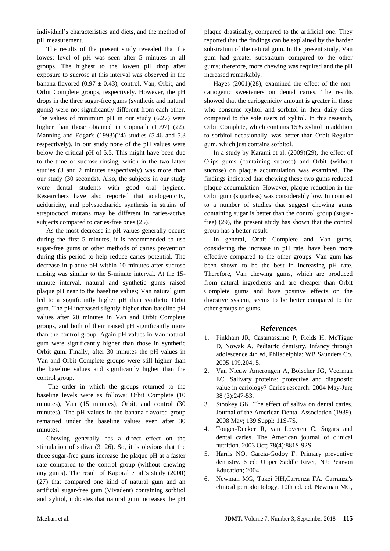individual's characteristics and diets, and the method of pH measurement.

The results of the present study revealed that the lowest level of pH was seen after 5 minutes in all groups. The highest to the lowest pH drop after exposure to sucrose at this interval was observed in the banana-flavored (0.97  $\pm$  0.43), control, Van, Orbit, and Orbit Complete groups, respectively. However, the pH drops in the three sugar-free gums (synthetic and natural gums) were not significantly different from each other. The values of minimum pH in our study (6.27) were higher than those obtained in Gopinath (1997) [\(22\)](#page-5-15), Manning and Edgar's (1993)[\(24\)](#page-5-17) studies (5.46 and 5.3 respectively). In our study none of the pH values were below the critical pH of 5.5. This might have been due to the time of sucrose rinsing, which in the two latter studies (3 and 2 minutes respectively) was more than our study (30 seconds). Also, the subjects in our study were dental students with good oral hygiene. Researchers have also reported that acidogenicity, aciduricity, and polysaccharide synthesis in strains of streptococci mutans may be different in caries-active subjects compared to caries-free ones [\(25\)](#page-5-18).

As the most decrease in pH values generally occurs during the first 5 minutes, it is recommended to use sugar-free gums or other methods of caries prevention during this period to help reduce caries potential. The decrease in plaque pH within 10 minutes after sucrose rinsing was similar to the 5-minute interval. At the 15 minute interval, natural and synthetic gums raised plaque pH near to the baseline values; Van natural gum led to a significantly higher pH than synthetic Orbit gum. The pH increased slightly higher than baseline pH values after 20 minutes in Van and Orbit Complete groups, and both of them raised pH significantly more than the control group. Again pH values in Van natural gum were significantly higher than those in synthetic Orbit gum. Finally, after 30 minutes the pH values in Van and Orbit Complete groups were still higher than the baseline values and significantly higher than the control group.

The order in which the groups returned to the baseline levels were as follows: Orbit Complete (10 minutes), Van (15 minutes), Orbit, and control (30 minutes). The pH values in the banana-flavored group remained under the baseline values even after 30 minutes.

Chewing generally has a direct effect on the stimulation of saliva [\(3,](#page-4-2) [26\)](#page-5-19). So, it is obvious that the three sugar-free gums increase the plaque pH at a faster rate compared to the control group (without chewing any gums). The result of Kaporal et al.'s study (2000) [\(27\)](#page-5-20) that compared one kind of natural gum and an artificial sugar-free gum (Vivadent) containing sorbitol and xylitol, indicates that natural gum increases the pH

plaque drastically, compared to the artificial one. They reported that the findings can be explained by the harder substratum of the natural gum. In the present study, Van gum had greater substratum compared to the other gums; therefore, more chewing was required and the pH increased remarkably.

Hayes (2001)[\(28\)](#page-5-21), examined the effect of the noncariogenic sweeteners on dental caries. The results showed that the cariogenicity amount is greater in those who consume xylitol and sorbitol in their daily diets compared to the sole users of xylitol. In this research, Orbit Complete, which contains 15% xylitol in addition to sorbitol occasionally, was better than Orbit Regular gum, which just contains sorbitol.

In a study by Karami et al. (2009)[\(29\)](#page-5-22), the effect of Olips gums (containing sucrose) and Orbit (without sucrose) on plaque accumulation was examined. The findings indicated that chewing these two gums reduced plaque accumulation. However, plaque reduction in the Orbit gum (sugarless) was considerably low. In contrast to a number of studies that suggest chewing gums containing sugar is better than the control group (sugarfree) [\(29\)](#page-5-22), the present study has shown that the control group has a better result.

In general, Orbit Complete and Van gums, considering the increase in pH rate, have been more effective compared to the other groups. Van gum has been shown to be the best in increasing pH rate. Therefore, Van chewing gums, which are produced from natural ingredients and are cheaper than Orbit Complete gums and have positive effects on the digestive system, seems to be better compared to the other groups of gums.

### **References**

- <span id="page-4-0"></span>1. Pinkham JR, Casamassimo P, Fields H, McTigue D, Nowak A. Pediatric dentistry. Infancy through adolescence 4th ed, Philadelphia: WB Saunders Co. 2005:199.204, 5.
- <span id="page-4-1"></span>2. Van Nieuw Amerongen A, Bolscher JG, Veerman EC. Salivary proteins: protective and diagnostic value in cariology? Caries research. 2004 May-Jun; 38 (3):247-53.
- <span id="page-4-2"></span>3. Stookey GK. The effect of saliva on dental caries. Journal of the American Dental Association (1939). 2008 May; 139 Suppl: 11S-7S.
- <span id="page-4-3"></span>4. Touger-Decker R, van Loveren C. Sugars and dental caries. The American journal of clinical nutrition. 2003 Oct; 78(4):881S-92S.
- <span id="page-4-4"></span>5. Harris NO, Garcia-Godoy F. Primary preventive dentistry. 6 ed: Upper Saddle River, NJ: Pearson Education; 2004.
- <span id="page-4-5"></span>6. Newman MG, Takei HH,Carrenza FA. Carranza's clinical periodontology. 10th ed. ed. Newman MG,